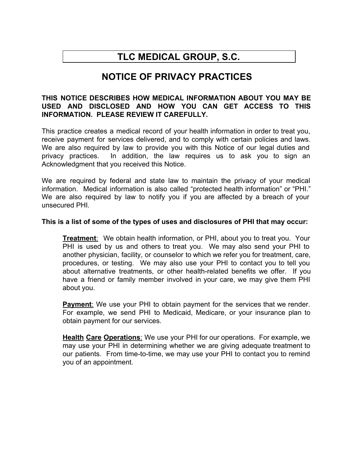# **TLC MEDICAL GROUP, S.C.**

# **NOTICE OF PRIVACY PRACTICES**

## **THIS NOTICE DESCRIBES HOW MEDICAL INFORMATION ABOUT YOU MAY BE USED AND DISCLOSED AND HOW YOU CAN GET ACCESS TO THIS INFORMATION. PLEASE REVIEW IT CAREFULLY.**

This practice creates a medical record of your health information in order to treat you, receive payment for services delivered, and to comply with certain policies and laws. We are also required by law to provide you with this Notice of our legal duties and privacy practices. In addition, the law requires us to ask you to sign an Acknowledgment that you received this Notice.

We are required by federal and state law to maintain the privacy of your medical information. Medical information is also called "protected health information" or "PHI." We are also required by law to notify you if you are affected by a breach of your unsecured PHI.

### **This is a list of some of the types of uses and disclosures of PHI that may occur:**

**Treatment**: We obtain health information, or PHI, about you to treat you. Your PHI is used by us and others to treat you. We may also send your PHI to another physician, facility, or counselor to which we refer you for treatment, care, procedures, or testing. We may also use your PHI to contact you to tell you about alternative treatments, or other health-related benefits we offer. If you have a friend or family member involved in your care, we may give them PHI about you.

**Payment:** We use your PHI to obtain payment for the services that we render. For example, we send PHI to Medicaid, Medicare, or your insurance plan to obtain payment for our services.

**Health Care Operations**: We use your PHI for our operations. For example, we may use your PHI in determining whether we are giving adequate treatment to our patients. From time-to-time, we may use your PHI to contact you to remind you of an appointment.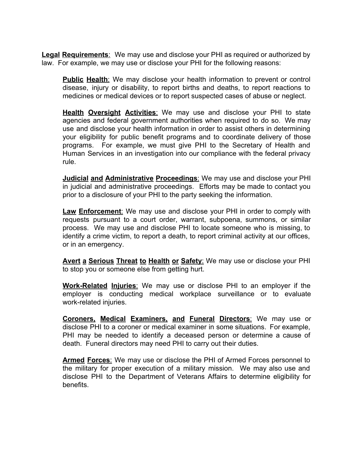**Legal Requirements**: We may use and disclose your PHI as required or authorized by law. For example, we may use or disclose your PHI for the following reasons:

**Public Health**: We may disclose your health information to prevent or control disease, injury or disability, to report births and deaths, to report reactions to medicines or medical devices or to report suspected cases of abuse or neglect.

**Health Oversight Activities**: We may use and disclose your PHI to state agencies and federal government authorities when required to do so. We may use and disclose your health information in order to assist others in determining your eligibility for public benefit programs and to coordinate delivery of those programs. For example, we must give PHI to the Secretary of Health and Human Services in an investigation into our compliance with the federal privacy rule.

**Judicial and Administrative Proceedings**: We may use and disclose your PHI in judicial and administrative proceedings. Efforts may be made to contact you prior to a disclosure of your PHI to the party seeking the information.

**Law Enforcement**: We may use and disclose your PHI in order to comply with requests pursuant to a court order, warrant, subpoena, summons, or similar process. We may use and disclose PHI to locate someone who is missing, to identify a crime victim, to report a death, to report criminal activity at our offices, or in an emergency.

**Avert a Serious Threat to Health or Safety**: We may use or disclose your PHI to stop you or someone else from getting hurt.

**Work-Related Injuries**: We may use or disclose PHI to an employer if the employer is conducting medical workplace surveillance or to evaluate work-related injuries.

**Coroners, Medical Examiners, and Funeral Directors**: We may use or disclose PHI to a coroner or medical examiner in some situations. For example, PHI may be needed to identify a deceased person or determine a cause of death. Funeral directors may need PHI to carry out their duties.

**Armed Forces**: We may use or disclose the PHI of Armed Forces personnel to the military for proper execution of a military mission. We may also use and disclose PHI to the Department of Veterans Affairs to determine eligibility for benefits.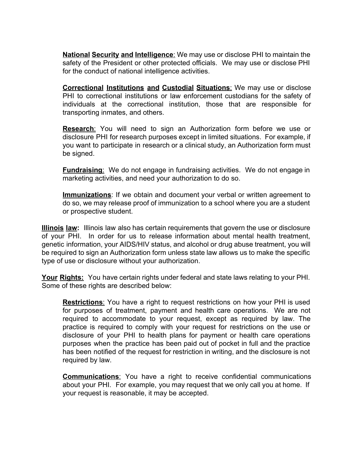**National Security and Intelligence**: We may use or disclose PHI to maintain the safety of the President or other protected officials. We may use or disclose PHI for the conduct of national intelligence activities.

**Correctional Institutions and Custodial Situations**: We may use or disclose PHI to correctional institutions or law enforcement custodians for the safety of individuals at the correctional institution, those that are responsible for transporting inmates, and others.

**Research**: You will need to sign an Authorization form before we use or disclosure PHI for research purposes except in limited situations. For example, if you want to participate in research or a clinical study, an Authorization form must be signed.

**Fundraising**: We do not engage in fundraising activities. We do not engage in marketing activities, and need your authorization to do so.

**Immunizations**: If we obtain and document your verbal or written agreement to do so, we may release proof of immunization to a school where you are a student or prospective student.

**Illinois law:** Illinois law also has certain requirements that govern the use or disclosure of your PHI. In order for us to release information about mental health treatment, genetic information, your AIDS/HIV status, and alcohol or drug abuse treatment, you will be required to sign an Authorization form unless state law allows us to make the specific type of use or disclosure without your authorization.

**Your Rights:** You have certain rights under federal and state laws relating to your PHI. Some of these rights are described below:

**Restrictions**: You have a right to request restrictions on how your PHI is used for purposes of treatment, payment and health care operations. We are not required to accommodate to your request, except as required by law. The practice is required to comply with your request for restrictions on the use or disclosure of your PHI to health plans for payment or health care operations purposes when the practice has been paid out of pocket in full and the practice has been notified of the request for restriction in writing, and the disclosure is not required by law.

**Communications**: You have a right to receive confidential communications about your PHI. For example, you may request that we only call you at home. If your request is reasonable, it may be accepted.